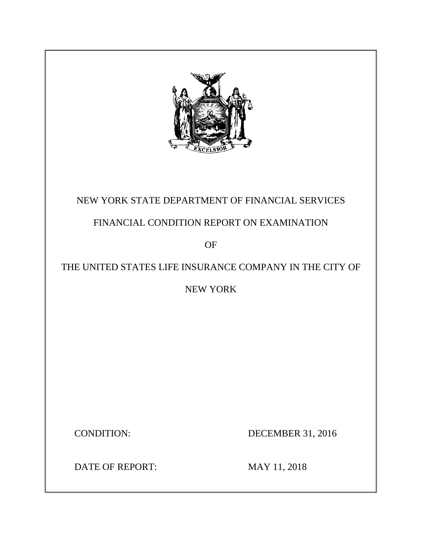

# NEW YORK STATE DEPARTMENT OF FINANCIAL SERVICES

# FINANCIAL CONDITION REPORT ON EXAMINATION

OF

# THE UNITED STATES LIFE INSURANCE COMPANY IN THE CITY OF

NEW YORK

CONDITION: DECEMBER 31, 2016

DATE OF REPORT: MAY 11, 2018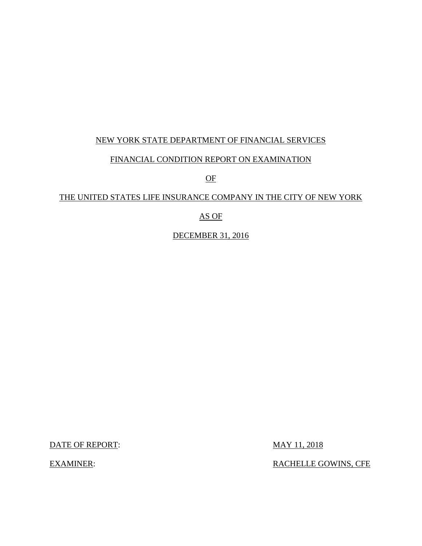### NEW YORK STATE DEPARTMENT OF FINANCIAL SERVICES

### FINANCIAL CONDITION REPORT ON EXAMINATION

OF

### THE UNITED STATES LIFE INSURANCE COMPANY IN THE CITY OF NEW YORK

### AS OF

DECEMBER 31, 2016

DATE OF REPORT: MAY 11, 2018

EXAMINER: RACHELLE GOWINS, CFE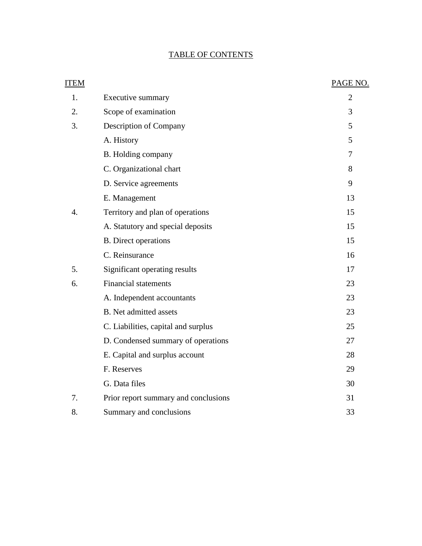# TABLE OF CONTENTS

| <b>ITEM</b>      |                                      | PAGE NO.       |
|------------------|--------------------------------------|----------------|
| 1.               | Executive summary                    | $\overline{2}$ |
| 2.               | Scope of examination                 | 3              |
| 3.               | Description of Company               | 5              |
|                  | A. History                           | 5              |
|                  | B. Holding company                   | 7              |
|                  | C. Organizational chart              | 8              |
|                  | D. Service agreements                | 9              |
|                  | E. Management                        | 13             |
| $\overline{4}$ . | Territory and plan of operations     | 15             |
|                  | A. Statutory and special deposits    | 15             |
|                  | <b>B.</b> Direct operations          | 15             |
|                  | C. Reinsurance                       | 16             |
| 5.               | Significant operating results        | 17             |
| 6.               | <b>Financial statements</b>          | 23             |
|                  | A. Independent accountants           | 23             |
|                  | <b>B.</b> Net admitted assets        | 23             |
|                  | C. Liabilities, capital and surplus  | 25             |
|                  | D. Condensed summary of operations   | 27             |
|                  | E. Capital and surplus account       | 28             |
|                  | F. Reserves                          | 29             |
|                  | G. Data files                        | 30             |
| 7.               | Prior report summary and conclusions | 31             |
| 8.               | Summary and conclusions              | 33             |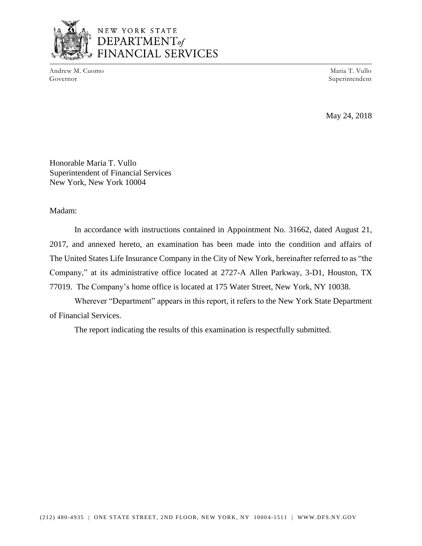

# NEW YORK STATE DEPARTMENT<sub>of</sub> **ANCIAL SERVICES**

Andrew M. Cuomo Maria T. Vullo Governor Superintendent Superintendent Superintendent Superintendent Superintendent Superintendent Superintendent Superintendent Superintendent Superintendent Superintendent Superintendent Superintendent Superintendent Sup

May 24, 2018

Honorable Maria T. Vullo Superintendent of Financial Services New York, New York 10004

Madam:

 The United States Life Insurance Company in the City of New York, hereinafter referred to as "the Company," at its administrative office located at 2727-A Allen Parkway, 3-D1, Houston, TX In accordance with instructions contained in Appointment No. 31662, dated August 21, 2017, and annexed hereto, an examination has been made into the condition and affairs of 77019. The Company's home office is located at 175 Water Street, New York, NY 10038.

 Wherever "Department" appears in this report, it refers to the New York State Department of Financial Services.

The report indicating the results of this examination is respectfully submitted.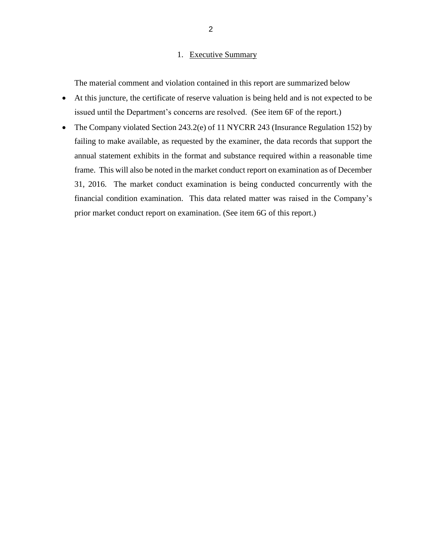#### 1. Executive Summary

The material comment and violation contained in this report are summarized below

- issued until the Department's concerns are resolved. (See item 6F of the report.) • At this juncture, the certificate of reserve valuation is being held and is not expected to be
- The Company violated Section 243.2(e) of 11 NYCRR 243 (Insurance Regulation 152) by failing to make available, as requested by the examiner, the data records that support the frame. This will also be noted in the market conduct report on examination as of December 31, 2016. The market conduct examination is being conducted concurrently with the financial condition examination. This data related matter was raised in the Company's annual statement exhibits in the format and substance required within a reasonable time prior market conduct report on examination. (See item 6G of this report.)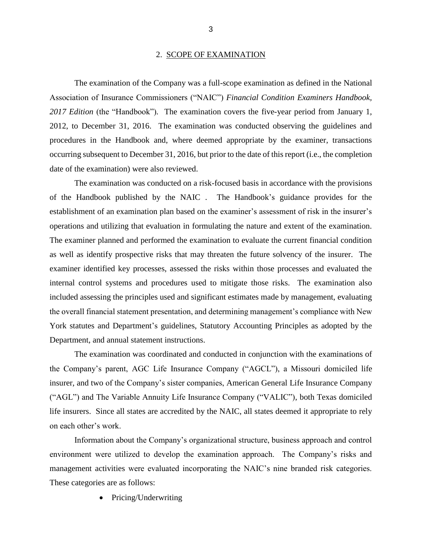#### 2. SCOPE OF EXAMINATION

 The examination of the Company was a full-scope examination as defined in the National *2017 Edition* (the "Handbook")*.* The examination covers the five-year period from January 1, 2012, to December 31, 2016. The examination was conducted observing the guidelines and occurring subsequent to December 31, 2016, but prior to the date of this report (i.e., the completion Association of Insurance Commissioners ("NAIC") *Financial Condition Examiners Handbook,*  procedures in the Handbook and, where deemed appropriate by the examiner, transactions date of the examination) were also reviewed.

 of the Handbook published by the NAIC . The Handbook's guidance provides for the establishment of an examination plan based on the examiner's assessment of risk in the insurer's operations and utilizing that evaluation in formulating the nature and extent of the examination. as well as identify prospective risks that may threaten the future solvency of the insurer. The York statutes and Department's guidelines, Statutory Accounting Principles as adopted by the The examination was conducted on a risk-focused basis in accordance with the provisions The examiner planned and performed the examination to evaluate the current financial condition examiner identified key processes, assessed the risks within those processes and evaluated the internal control systems and procedures used to mitigate those risks. The examination also included assessing the principles used and significant estimates made by management, evaluating the overall financial statement presentation, and determining management's compliance with New Department, and annual statement instructions.

 the Company's parent, AGC Life Insurance Company ("AGCL"), a Missouri domiciled life insurer, and two of the Company's sister companies, American General Life Insurance Company ("AGL") and The Variable Annuity Life Insurance Company ("VALIC"), both Texas domiciled life insurers. Since all states are accredited by the NAIC, all states deemed it appropriate to rely The examination was coordinated and conducted in conjunction with the examinations of on each other's work.

 environment were utilized to develop the examination approach. The Company's risks and management activities were evaluated incorporating the NAIC's nine branded risk categories. Information about the Company's organizational structure, business approach and control These categories are as follows:

• Pricing/Underwriting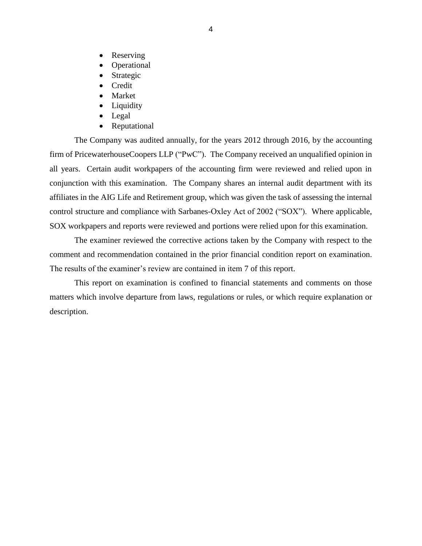- **Reserving**
- **Operational**
- **Strategic**
- Credit
- **Market**
- Liquidity
- Legal
- Reputational

 The Company was audited annually, for the years 2012 through 2016, by the accounting firm of PricewaterhouseCoopers LLP ("PwC"). The Company received an unqualified opinion in all years. Certain audit workpapers of the accounting firm were reviewed and relied upon in conjunction with this examination. The Company shares an internal audit department with its control structure and compliance with Sarbanes-Oxley Act of 2002 ("SOX"). Where applicable, affiliates in the AIG Life and Retirement group, which was given the task of assessing the internal SOX workpapers and reports were reviewed and portions were relied upon for this examination.

 The examiner reviewed the corrective actions taken by the Company with respect to the comment and recommendation contained in the prior financial condition report on examination. The results of the examiner's review are contained in item 7 of this report.

 matters which involve departure from laws, regulations or rules, or which require explanation or This report on examination is confined to financial statements and comments on those description.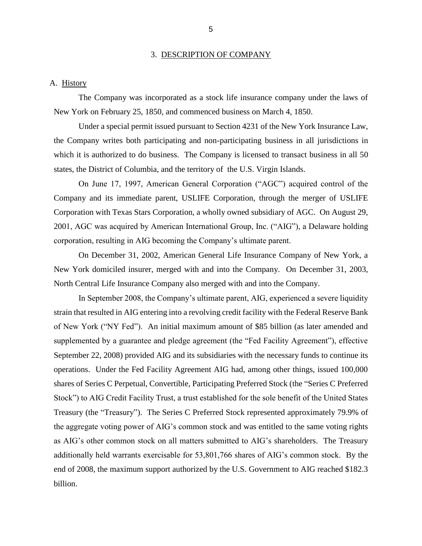#### 3. DESCRIPTION OF COMPANY

#### <span id="page-7-0"></span>A. History

 The Company was incorporated as a stock life insurance company under the laws of New York on February 25, 1850, and commenced business on March 4, 1850.

 Under a special permit issued pursuant to Section 4231 of the New York Insurance Law, which it is authorized to do business. The Company is licensed to transact business in all 50 the Company writes both participating and non-participating business in all jurisdictions in states, the District of Columbia, and the territory of the U.S. Virgin Islands.

 Corporation with Texas Stars Corporation, a wholly owned subsidiary of AGC. On August 29, 2001, AGC was acquired by American International Group, Inc. ("AIG"), a Delaware holding On June 17, 1997, American General Corporation ("AGC") acquired control of the Company and its immediate parent, USLIFE Corporation, through the merger of USLIFE corporation, resulting in AIG becoming the Company's ultimate parent.

 On December 31, 2002, American General Life Insurance Company of New York, a New York domiciled insurer, merged with and into the Company. On December 31, 2003, North Central Life Insurance Company also merged with and into the Company.

 In September 2008, the Company's ultimate parent, AIG, experienced a severe liquidity strain that resulted in AIG entering into a revolving credit facility with the Federal Reserve Bank of New York ("NY Fed"). An initial maximum amount of \$85 billion (as later amended and supplemented by a guarantee and pledge agreement (the "Fed Facility Agreement"), effective operations. Under the Fed Facility Agreement AIG had, among other things, issued 100,000 shares of Series C Perpetual, Convertible, Participating Preferred Stock (the "Series C Preferred Stock") to AIG Credit Facility Trust, a trust established for the sole benefit of the United States Treasury (the "Treasury"). The Series C Preferred Stock represented approximately 79.9% of the aggregate voting power of AIG's common stock and was entitled to the same voting rights as AIG's other common stock on all matters submitted to AIG's shareholders. The Treasury additionally held warrants exercisable for 53,801,766 shares of AIG's common stock. By the September 22, 2008) provided AIG and its subsidiaries with the necessary funds to continue its end of 2008, the maximum support authorized by the U.S. Government to AIG reached \$182.3 billion.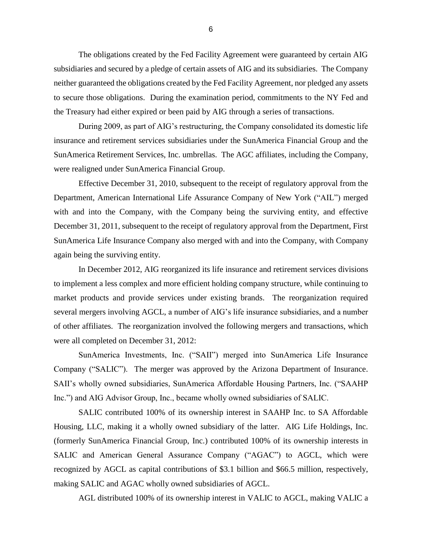The obligations created by the Fed Facility Agreement were guaranteed by certain AIG subsidiaries and secured by a pledge of certain assets of AIG and its subsidiaries. The Company to secure those obligations. During the examination period, commitments to the NY Fed and neither guaranteed the obligations created by the Fed Facility Agreement, nor pledged any assets the Treasury had either expired or been paid by AIG through a series of transactions.

 During 2009, as part of AIG's restructuring, the Company consolidated its domestic life SunAmerica Retirement Services, Inc. umbrellas. The AGC affiliates, including the Company, insurance and retirement services subsidiaries under the SunAmerica Financial Group and the were realigned under SunAmerica Financial Group.

 with and into the Company, with the Company being the surviving entity, and effective SunAmerica Life Insurance Company also merged with and into the Company, with Company Effective December 31, 2010, subsequent to the receipt of regulatory approval from the Department, American International Life Assurance Company of New York ("AIL") merged December 31, 2011, subsequent to the receipt of regulatory approval from the Department, First again being the surviving entity.

 to implement a less complex and more efficient holding company structure, while continuing to market products and provide services under existing brands. The reorganization required of other affiliates. The reorganization involved the following mergers and transactions, which In December 2012, AIG reorganized its life insurance and retirement services divisions several mergers involving AGCL, a number of AIG's life insurance subsidiaries, and a number were all completed on December 31, 2012:

 SunAmerica Investments, Inc. ("SAII") merged into SunAmerica Life Insurance Company ("SALIC"). The merger was approved by the Arizona Department of Insurance. SAII's wholly owned subsidiaries, SunAmerica Affordable Housing Partners, Inc. ("SAAHP Inc.") and AIG Advisor Group, Inc., became wholly owned subsidiaries of SALIC.

 Housing, LLC, making it a wholly owned subsidiary of the latter. AIG Life Holdings, Inc. SALIC and American General Assurance Company ("AGAC") to AGCL, which were SALIC contributed 100% of its ownership interest in SAAHP Inc. to SA Affordable (formerly SunAmerica Financial Group, Inc.) contributed 100% of its ownership interests in recognized by AGCL as capital contributions of \$3.1 billion and \$66.5 million, respectively, making SALIC and AGAC wholly owned subsidiaries of AGCL.

AGL distributed 100% of its ownership interest in VALIC to AGCL, making VALIC a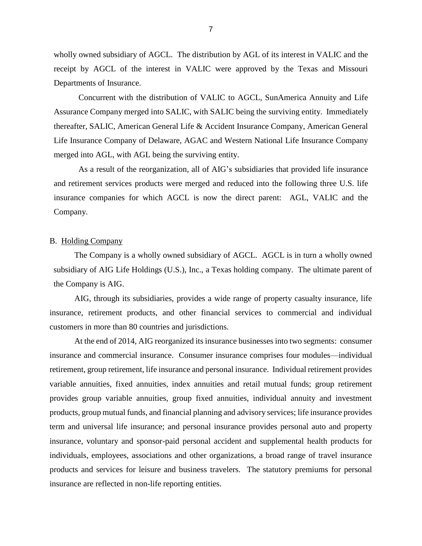<span id="page-9-0"></span> wholly owned subsidiary of AGCL. The distribution by AGL of its interest in VALIC and the receipt by AGCL of the interest in VALIC were approved by the Texas and Missouri Departments of Insurance.

 Concurrent with the distribution of VALIC to AGCL, SunAmerica Annuity and Life Assurance Company merged into SALIC, with SALIC being the surviving entity. Immediately Life Insurance Company of Delaware, AGAC and Western National Life Insurance Company thereafter, SALIC, American General Life & Accident Insurance Company, American General merged into AGL, with AGL being the surviving entity.

 As a result of the reorganization, all of AIG's subsidiaries that provided life insurance and retirement services products were merged and reduced into the following three U.S. life insurance companies for which AGCL is now the direct parent: AGL, VALIC and the Company.

#### B. Holding Company

 The Company is a wholly owned subsidiary of AGCL. AGCL is in turn a wholly owned subsidiary of AIG Life Holdings (U.S.), Inc., a Texas holding company. The ultimate parent of the Company is AIG.

 AIG, through its subsidiaries, provides a wide range of property casualty insurance, life insurance, retirement products, and other financial services to commercial and individual customers in more than 80 countries and jurisdictions.

 provides group variable annuities, group fixed annuities, individual annuity and investment products, group mutual funds, and financial planning and advisory services; life insurance provides insurance, voluntary and sponsor-paid personal accident and supplemental health products for individuals, employees, associations and other organizations, a broad range of travel insurance products and services for leisure and business travelers. The statutory premiums for personal insurance are reflected in non-life reporting entities. At the end of 2014, AIG reorganized its insurance businesses into two segments: consumer insurance and commercial insurance. Consumer insurance comprises four modules—individual retirement, group retirement, life insurance and personal insurance. Individual retirement provides variable annuities, fixed annuities, index annuities and retail mutual funds; group retirement term and universal life insurance; and personal insurance provides personal auto and property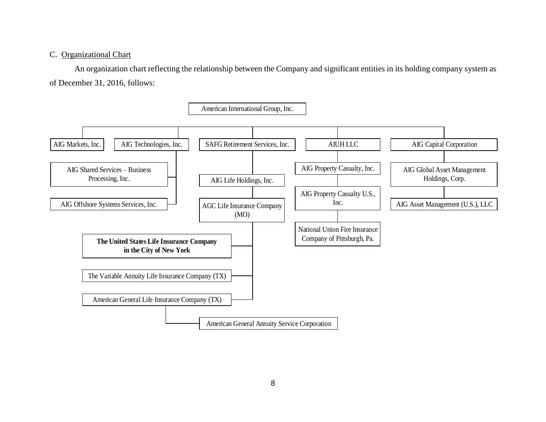### C. Organizational Chart

 An organization chart reflecting the relationship between the Company and significant entities in its holding company system as of December 31, 2016, follows:

<span id="page-10-0"></span>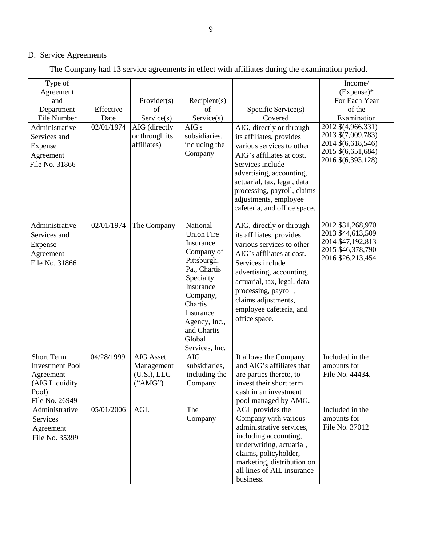# D. Service Agreements

The Company had 13 service agreements in effect with affiliates during the examination period.

| Type of                |            |                  |                   |                              | Income/            |
|------------------------|------------|------------------|-------------------|------------------------------|--------------------|
| Agreement              |            |                  |                   |                              | $(Express)*$       |
| and                    |            | Provider(s)      | Recipient(s)      |                              | For Each Year      |
| Department             | Effective  | of               | of                | Specific Service(s)          | of the             |
| File Number            | Date       | Service(s)       | Service(s)        | Covered                      | Examination        |
| Administrative         | 02/01/1974 | AIG (directly    | AIG's             | AIG, directly or through     | 2012 \$(4,966,331) |
| Services and           |            | or through its   | subsidiaries,     | its affiliates, provides     | 2013 \$(7,009,783) |
| Expense                |            | affiliates)      | including the     | various services to other    | 2014 \$(6,618,546) |
| Agreement              |            |                  | Company           | AIG's affiliates at cost.    | 2015 \$(6,651,684) |
| File No. 31866         |            |                  |                   | Services include             | 2016 \$(6,393,128) |
|                        |            |                  |                   | advertising, accounting,     |                    |
|                        |            |                  |                   | actuarial, tax, legal, data  |                    |
|                        |            |                  |                   | processing, payroll, claims  |                    |
|                        |            |                  |                   | adjustments, employee        |                    |
|                        |            |                  |                   | cafeteria, and office space. |                    |
|                        |            |                  |                   |                              |                    |
| Administrative         | 02/01/1974 | The Company      | National          | AIG, directly or through     | 2012 \$31,268,970  |
| Services and           |            |                  | <b>Union Fire</b> | its affiliates, provides     | 2013 \$44,613,509  |
| Expense                |            |                  | Insurance         | various services to other    | 2014 \$47,192,813  |
| Agreement              |            |                  | Company of        | AIG's affiliates at cost.    | 2015 \$46,378,790  |
| File No. 31866         |            |                  | Pittsburgh,       | Services include             | 2016 \$26,213,454  |
|                        |            |                  | Pa., Chartis      | advertising, accounting,     |                    |
|                        |            |                  | Specialty         | actuarial, tax, legal, data  |                    |
|                        |            |                  | Insurance         | processing, payroll,         |                    |
|                        |            |                  | Company,          | claims adjustments,          |                    |
|                        |            |                  | Chartis           | employee cafeteria, and      |                    |
|                        |            |                  | Insurance         | office space.                |                    |
|                        |            |                  | Agency, Inc.,     |                              |                    |
|                        |            |                  | and Chartis       |                              |                    |
|                        |            |                  | Global            |                              |                    |
|                        |            |                  | Services, Inc.    |                              |                    |
| <b>Short Term</b>      | 04/28/1999 | <b>AIG Asset</b> | <b>AIG</b>        | It allows the Company        | Included in the    |
| <b>Investment Pool</b> |            | Management       | subsidiaries,     | and AIG's affiliates that    | amounts for        |
| Agreement              |            | (U.S.), LLC      | including the     | are parties thereto, to      | File No. 44434.    |
| (AIG Liquidity         |            | ("AMG")          | Company           | invest their short term      |                    |
| Pool)                  |            |                  |                   | cash in an investment        |                    |
| File No. 26949         |            |                  |                   | pool managed by AMG.         |                    |
| Administrative         | 05/01/2006 | <b>AGL</b>       | The               | AGL provides the             | Included in the    |
| Services               |            |                  | Company           | Company with various         | amounts for        |
| Agreement              |            |                  |                   | administrative services,     | File No. 37012     |
| File No. 35399         |            |                  |                   | including accounting,        |                    |
|                        |            |                  |                   | underwriting, actuarial,     |                    |
|                        |            |                  |                   | claims, policyholder,        |                    |
|                        |            |                  |                   | marketing, distribution on   |                    |
|                        |            |                  |                   | all lines of AIL insurance   |                    |
|                        |            |                  |                   | business.                    |                    |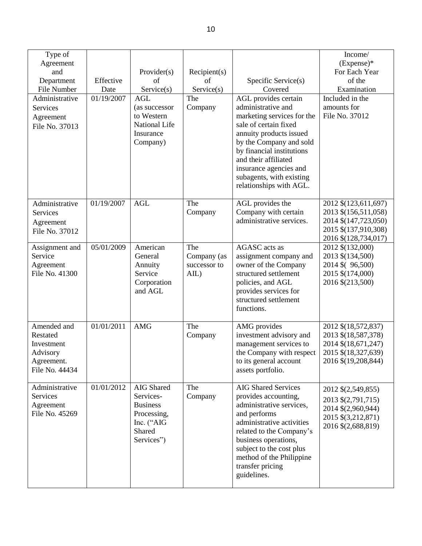| Type of<br>Agreement<br>and<br>Department                                         | Effective  | Provider(s)<br>of                                                                                      | Recipient(s)<br>of                            | Specific Service(s)                                                                                                                                                                                                                                                                           | Income/<br>$(Express)*$<br>For Each Year<br>of the                                                                   |
|-----------------------------------------------------------------------------------|------------|--------------------------------------------------------------------------------------------------------|-----------------------------------------------|-----------------------------------------------------------------------------------------------------------------------------------------------------------------------------------------------------------------------------------------------------------------------------------------------|----------------------------------------------------------------------------------------------------------------------|
| File Number                                                                       | Date       | Service(s)                                                                                             | Service(s)                                    | Covered                                                                                                                                                                                                                                                                                       | Examination                                                                                                          |
| Administrative<br>Services<br>Agreement<br>File No. 37013                         | 01/19/2007 | <b>AGL</b><br>(as successor<br>to Western<br>National Life<br>Insurance<br>Company)                    | The<br>Company                                | AGL provides certain<br>administrative and<br>marketing services for the<br>sale of certain fixed<br>annuity products issued<br>by the Company and sold<br>by financial institutions<br>and their affiliated<br>insurance agencies and<br>subagents, with existing<br>relationships with AGL. | Included in the<br>amounts for<br>File No. 37012                                                                     |
| Administrative<br>Services<br>Agreement<br>File No. 37012                         | 01/19/2007 | <b>AGL</b>                                                                                             | The<br>Company                                | AGL provides the<br>Company with certain<br>administrative services.                                                                                                                                                                                                                          | 2012 \$(123,611,697)<br>2013 \$(156,511,058)<br>2014 \$(147,723,050)<br>2015 \$(137,910,308)<br>2016 \$(128,734,017) |
| Assignment and<br>Service<br>Agreement<br>File No. 41300                          | 05/01/2009 | American<br>General<br>Annuity<br>Service<br>Corporation<br>and AGL                                    | The<br>Company (as<br>successor to<br>$AIL$ ) | <b>AGASC</b> acts as<br>assignment company and<br>owner of the Company<br>structured settlement<br>policies, and AGL<br>provides services for<br>structured settlement<br>functions.                                                                                                          | 2012 \$(132,000)<br>2013 \$(134,500)<br>2014 \$ (96,500)<br>2015 \$(174,000)<br>2016 \$(213,500)                     |
| Amended and<br>Restated<br>Investment<br>Advisory<br>Agreement.<br>File No. 44434 | 01/01/2011 | <b>AMG</b>                                                                                             | The<br>Company                                | AMG provides<br>investment advisory and<br>management services to<br>the Company with respect<br>to its general account<br>assets portfolio.                                                                                                                                                  | 2012 \$(18,572,837)<br>2013 \$(18,587,378)<br>2014 \$(18,671,247)<br>2015 \$(18,327,639)<br>2016 \$(19,208,844)      |
| Administrative<br>Services<br>Agreement<br>File No. 45269                         | 01/01/2012 | <b>AIG Shared</b><br>Services-<br><b>Business</b><br>Processing,<br>Inc. ("AIG<br>Shared<br>Services") | The<br>Company                                | <b>AIG Shared Services</b><br>provides accounting,<br>administrative services,<br>and performs<br>administrative activities<br>related to the Company's<br>business operations,<br>subject to the cost plus<br>method of the Philippine<br>transfer pricing<br>guidelines.                    | 2012 \$(2,549,855)<br>2013 \$(2,791,715)<br>2014 \$(2,960,944)<br>2015 \$(3,212,871)<br>2016 \$(2,688,819)           |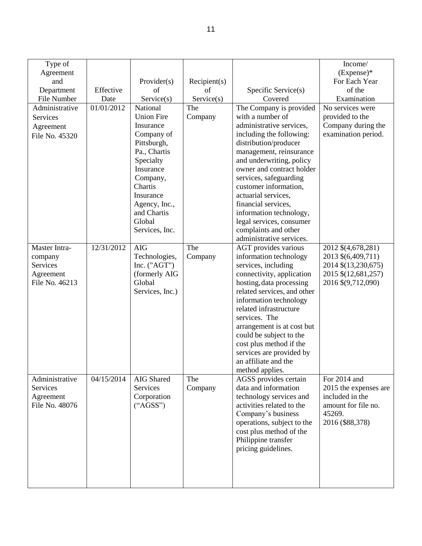| Type of<br>Agreement        |            |                         |              |                                                       | Income/<br>$(Express)*$                  |
|-----------------------------|------------|-------------------------|--------------|-------------------------------------------------------|------------------------------------------|
| and                         |            | Provider(s)             | Recipient(s) |                                                       | For Each Year                            |
| Department                  | Effective  | of                      | of           | Specific Service(s)                                   | of the                                   |
| File Number                 | Date       | Service(s)              | Service(s)   | Covered                                               | Examination                              |
| Administrative              | 01/01/2012 | National                | The          | The Company is provided                               | No services were                         |
| Services                    |            | <b>Union Fire</b>       | Company      | with a number of                                      | provided to the                          |
| Agreement                   |            | Insurance               |              | administrative services,                              | Company during the                       |
| File No. 45320              |            | Company of              |              | including the following:                              | examination period.                      |
|                             |            | Pittsburgh,             |              | distribution/producer                                 |                                          |
|                             |            | Pa., Chartis            |              | management, reinsurance                               |                                          |
|                             |            | Specialty               |              | and underwriting, policy                              |                                          |
|                             |            | Insurance               |              | owner and contract holder                             |                                          |
|                             |            | Company,                |              | services, safeguarding                                |                                          |
|                             |            | Chartis                 |              | customer information,                                 |                                          |
|                             |            | Insurance               |              | actuarial services,                                   |                                          |
|                             |            | Agency, Inc.,           |              | financial services,                                   |                                          |
|                             |            | and Chartis             |              | information technology,                               |                                          |
|                             |            | Global                  |              | legal services, consumer                              |                                          |
|                             |            | Services, Inc.          |              | complaints and other                                  |                                          |
|                             |            |                         |              | administrative services.                              |                                          |
| Master Intra-               | 12/31/2012 | <b>AIG</b>              | The          | AGT provides various                                  | 2012 \$(4,678,281)                       |
| company                     |            | Technologies,           | Company      | information technology                                | 2013 \$(6,409,711)                       |
| Services                    |            | Inc. $("AGT")$          |              | services, including                                   | 2014 \$(13,230,675)                      |
| Agreement                   |            | (formerly AIG           |              | connectivity, application                             | 2015 \$(12,681,257)                      |
| File No. 46213              |            | Global                  |              | hosting, data processing                              | 2016 \$(9,712,090)                       |
|                             |            | Services, Inc.)         |              | related services, and other                           |                                          |
|                             |            |                         |              | information technology                                |                                          |
|                             |            |                         |              | related infrastructure                                |                                          |
|                             |            |                         |              | services. The                                         |                                          |
|                             |            |                         |              | arrangement is at cost but                            |                                          |
|                             |            |                         |              | could be subject to the                               |                                          |
|                             |            |                         |              | cost plus method if the                               |                                          |
|                             |            |                         |              | services are provided by                              |                                          |
|                             |            |                         |              | an affiliate and the                                  |                                          |
|                             | 04/15/2014 | AIG Shared              | The          | method applies.                                       |                                          |
| Administrative              |            |                         |              | AGSS provides certain                                 | For 2014 and                             |
| Services                    |            | Services                | Company      | data and information                                  | 2015 the expenses are<br>included in the |
| Agreement<br>File No. 48076 |            | Corporation<br>("AGSS") |              | technology services and<br>activities related to the  | amount for file no.                      |
|                             |            |                         |              | Company's business                                    | 45269.                                   |
|                             |            |                         |              |                                                       | 2016 (\$88,378)                          |
|                             |            |                         |              | operations, subject to the<br>cost plus method of the |                                          |
|                             |            |                         |              | Philippine transfer                                   |                                          |
|                             |            |                         |              | pricing guidelines.                                   |                                          |
|                             |            |                         |              |                                                       |                                          |
|                             |            |                         |              |                                                       |                                          |
|                             |            |                         |              |                                                       |                                          |
|                             |            |                         |              |                                                       |                                          |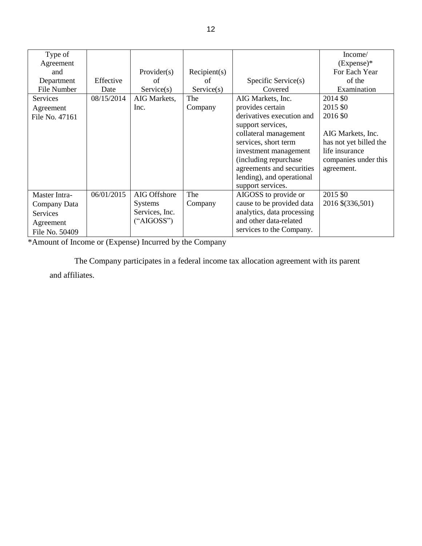| Type of         |            |                |              |                            | Income/                |
|-----------------|------------|----------------|--------------|----------------------------|------------------------|
| Agreement       |            |                |              |                            | $(Express)*$           |
| and             |            | Provider(s)    | Recipient(s) |                            | For Each Year          |
| Department      | Effective  | of             | οf           | Specific Service(s)        | of the                 |
| File Number     | Date       | Service(s)     | Service(s)   | Covered                    | Examination            |
| <b>Services</b> | 08/15/2014 | AIG Markets,   | The          | AIG Markets, Inc.          | 2014 \$0               |
| Agreement       |            | Inc.           | Company      | provides certain           | 2015 \$0               |
| File No. 47161  |            |                |              | derivatives execution and  | 2016 \$0               |
|                 |            |                |              | support services,          |                        |
|                 |            |                |              | collateral management      | AIG Markets, Inc.      |
|                 |            |                |              | services, short term       | has not yet billed the |
|                 |            |                |              | investment management      | life insurance         |
|                 |            |                |              | (including repurchase)     | companies under this   |
|                 |            |                |              | agreements and securities  | agreement.             |
|                 |            |                |              | lending), and operational  |                        |
|                 |            |                |              | support services.          |                        |
| Master Intra-   | 06/01/2015 | AIG Offshore   | The          | AIGOSS to provide or       | 2015 \$0               |
| Company Data    |            | <b>Systems</b> | Company      | cause to be provided data  | 2016 \$(336,501)       |
| <b>Services</b> |            | Services, Inc. |              | analytics, data processing |                        |
| Agreement       |            | ("AIGOSS")     |              | and other data-related     |                        |
| File No. 50409  |            |                |              | services to the Company.   |                        |

\*Amount of Income or (Expense) Incurred by the Company

The Company participates in a federal income tax allocation agreement with its parent and affiliates.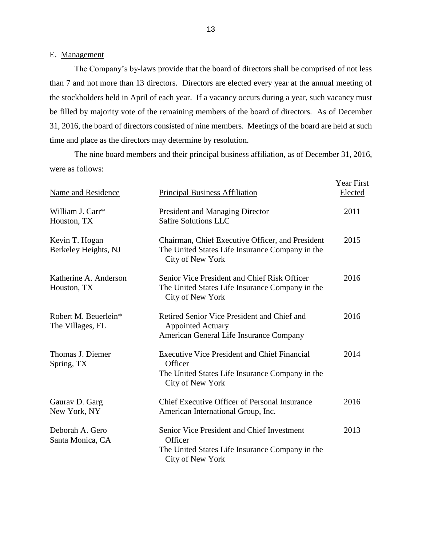#### E. Management

 The Company's by-laws provide that the board of directors shall be comprised of not less than 7 and not more than 13 directors. Directors are elected every year at the annual meeting of the stockholders held in April of each year. If a vacancy occurs during a year, such vacancy must be filled by majority vote of the remaining members of the board of directors. As of December 31, 2016, the board of directors consisted of nine members. Meetings of the board are held at such time and place as the directors may determine by resolution.

 were as follows: The nine board members and their principal business affiliation, as of December 31, 2016,

| Name and Residence                       | <b>Principal Business Affiliation</b>                                                                                                 | <b>Year First</b><br>Elected |
|------------------------------------------|---------------------------------------------------------------------------------------------------------------------------------------|------------------------------|
| William J. Carr*<br>Houston, TX          | <b>President and Managing Director</b><br><b>Safire Solutions LLC</b>                                                                 | 2011                         |
| Kevin T. Hogan<br>Berkeley Heights, NJ   | Chairman, Chief Executive Officer, and President<br>The United States Life Insurance Company in the<br>City of New York               | 2015                         |
| Katherine A. Anderson<br>Houston, TX     | Senior Vice President and Chief Risk Officer<br>The United States Life Insurance Company in the<br>City of New York                   | 2016                         |
| Robert M. Beuerlein*<br>The Villages, FL | Retired Senior Vice President and Chief and<br><b>Appointed Actuary</b><br>American General Life Insurance Company                    | 2016                         |
| Thomas J. Diemer<br>Spring, TX           | <b>Executive Vice President and Chief Financial</b><br>Officer<br>The United States Life Insurance Company in the<br>City of New York | 2014                         |
| Gaurav D. Garg<br>New York, NY           | Chief Executive Officer of Personal Insurance<br>American International Group, Inc.                                                   | 2016                         |
| Deborah A. Gero<br>Santa Monica, CA      | Senior Vice President and Chief Investment<br>Officer<br>The United States Life Insurance Company in the<br>City of New York          | 2013                         |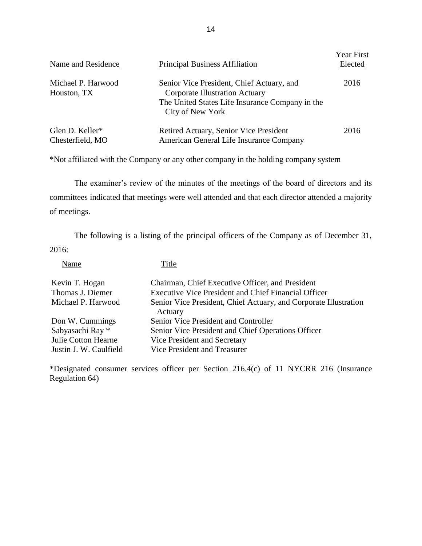| Name and Residence                  | <b>Principal Business Affiliation</b>                                                                                                                     | <b>Year First</b><br>Elected |
|-------------------------------------|-----------------------------------------------------------------------------------------------------------------------------------------------------------|------------------------------|
| Michael P. Harwood<br>Houston, TX   | Senior Vice President, Chief Actuary, and<br><b>Corporate Illustration Actuary</b><br>The United States Life Insurance Company in the<br>City of New York | 2016                         |
| Glen D. Keller*<br>Chesterfield, MO | Retired Actuary, Senior Vice President<br>American General Life Insurance Company                                                                         | 2016                         |

\*Not affiliated with the Company or any other company in the holding company system

 committees indicated that meetings were well attended and that each director attended a majority The examiner's review of the minutes of the meetings of the board of directors and its of meetings.

 The following is a listing of the principal officers of the Company as of December 31, 2016:

Name Title Kevin T. Hogan Chairman, Chief Executive Officer, and President Thomas J. Diemer Executive Vice President and Chief Financial Officer Michael P. Harwood Senior Vice President, Chief Actuary, and Corporate Illustration Actuary Don W. Cummings Senior Vice President and Controller Sabyasachi Ray \* Senior Vice President and Chief Operations Officer Julie Cotton Hearne<br>
Justin J. W. Caulfield<br>
Vice President and Treasurer Vice President and Treasurer

\*Designated consumer services officer per Section 216.4(c) of 11 NYCRR 216 (Insurance Regulation 64)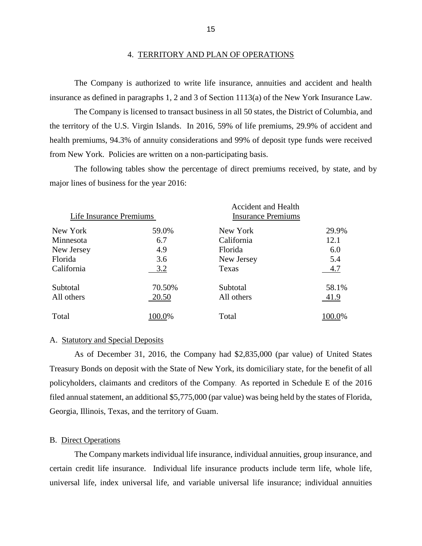The Company is authorized to write life insurance, annuities and accident and health insurance as defined in paragraphs 1, 2 and 3 of Section 1113(a) of the New York Insurance Law.

 The Company is licensed to transact business in all 50 states, the District of Columbia, and the territory of the U.S. Virgin Islands. In 2016, 59% of life premiums, 29.9% of accident and health premiums, 94.3% of annuity considerations and 99% of deposit type funds were received from New York. Policies are written on a non-participating basis.

 The following tables show the percentage of direct premiums received, by state, and by major lines of business for the year 2016:

| Life Insurance Premiums |        | <b>Accident and Health</b><br><b>Insurance Premiums</b> |       |  |
|-------------------------|--------|---------------------------------------------------------|-------|--|
| New York                | 59.0%  | New York                                                | 29.9% |  |
| Minnesota               | 6.7    | California                                              | 12.1  |  |
| New Jersey              | 4.9    | Florida                                                 | 6.0   |  |
| Florida                 | 3.6    | New Jersey                                              | 5.4   |  |
| California              | 3.2    | Texas                                                   | 4.7   |  |
| Subtotal                | 70.50% | Subtotal                                                | 58.1% |  |
| All others              | 20.50  | All others                                              | 41.9  |  |
| Total                   |        | Total                                                   |       |  |

#### A. Statutory and Special Deposits

 As of December 31, 2016, the Company had \$2,835,000 (par value) of United States filed annual statement, an additional \$5,775,000 (par value) was being held by the states of Florida, Treasury Bonds on deposit with the State of New York, its domiciliary state, for the benefit of all policyholders, claimants and creditors of the Company. As reported in Schedule E of the 2016 Georgia, Illinois, Texas, and the territory of Guam.

#### B. Direct Operations

 The Company markets individual life insurance, individual annuities, group insurance, and certain credit life insurance. Individual life insurance products include term life, whole life, universal life, index universal life, and variable universal life insurance; individual annuities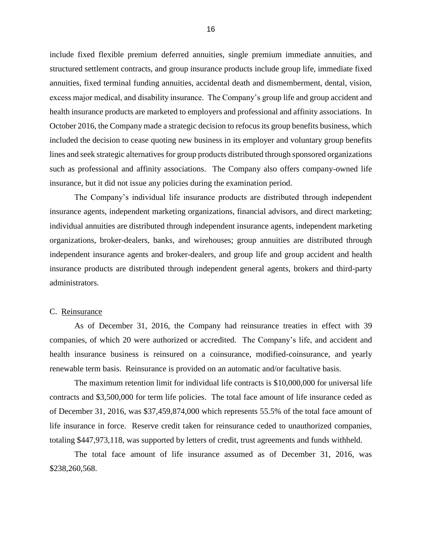<span id="page-18-0"></span> excess major medical, and disability insurance. The Company's group life and group accident and health insurance products are marketed to employers and professional and affinity associations. In October 2016, the Company made a strategic decision to refocus its group benefits business, which included the decision to cease quoting new business in its employer and voluntary group benefits such as professional and affinity associations. The Company also offers company-owned life include fixed flexible premium deferred annuities, single premium immediate annuities, and structured settlement contracts, and group insurance products include group life, immediate fixed annuities, fixed terminal funding annuities, accidental death and dismemberment, dental, vision, lines and seek strategic alternatives for group products distributed through sponsored organizations insurance, but it did not issue any policies during the examination period.

 The Company's individual life insurance products are distributed through independent insurance agents, independent marketing organizations, financial advisors, and direct marketing; individual annuities are distributed through independent insurance agents, independent marketing organizations, broker-dealers, banks, and wirehouses; group annuities are distributed through independent insurance agents and broker-dealers, and group life and group accident and health insurance products are distributed through independent general agents, brokers and third-party administrators.

#### C. Reinsurance

 As of December 31, 2016, the Company had reinsurance treaties in effect with 39 companies, of which 20 were authorized or accredited. The Company's life, and accident and health insurance business is reinsured on a coinsurance, modified-coinsurance, and yearly renewable term basis. Reinsurance is provided on an automatic and/or facultative basis.

 contracts and \$3,500,000 for term life policies. The total face amount of life insurance ceded as of December 31, 2016, was \$37,459,874,000 which represents 55.5% of the total face amount of life insurance in force. Reserve credit taken for reinsurance ceded to unauthorized companies, The maximum retention limit for individual life contracts is \$10,000,000 for universal life totaling \$447,973,118, was supported by letters of credit, trust agreements and funds withheld.

 The total face amount of life insurance assumed as of December 31, 2016, was \$238,260,568.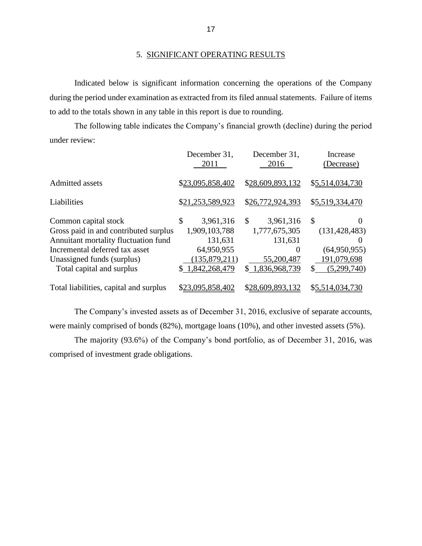## 5. SIGNIFICANT OPERATING RESULTS

 during the period under examination as extracted from its filed annual statements. Failure of items Indicated below is significant information concerning the operations of the Company to add to the totals shown in any table in this report is due to rounding.

 The following table indicates the Company's financial growth (decline) during the period under review:

|                                        | December 31,<br>2011 | December 31,<br>2016 | Increase<br>(Decrease)    |
|----------------------------------------|----------------------|----------------------|---------------------------|
| <b>Admitted assets</b>                 | \$23,095,858,402     | \$28,609,893,132     | \$5,514,034,730           |
| Liabilities                            | \$21,253,589,923     | \$26,772,924,393     | \$5,519,334,470           |
| Common capital stock                   | \$<br>3,961,316      | \$<br>3,961,316      | $\mathcal{S}$<br>$\theta$ |
| Gross paid in and contributed surplus  | 1,909,103,788        | 1,777,675,305        | (131, 428, 483)           |
| Annuitant mortality fluctuation fund   | 131,631              | 131,631              |                           |
| Incremental deferred tax asset         | 64,950,955           | $\Omega$             | (64,950,955)              |
| Unassigned funds (surplus)             | (135, 879, 211)      | 55,200,487           | 191,079,698               |
| Total capital and surplus              | \$1,842,268,479      | \$1,836,968,739      | (5,299,740)<br>\$.        |
| Total liabilities, capital and surplus | \$23,095,858,402     | \$28,609,893,132     | \$5,514,034,730           |

 The Company's invested assets as of December 31, 2016, exclusive of separate accounts, were mainly comprised of bonds (82%), mortgage loans (10%), and other invested assets (5%).

 The majority (93.6%) of the Company's bond portfolio, as of December 31, 2016, was comprised of investment grade obligations.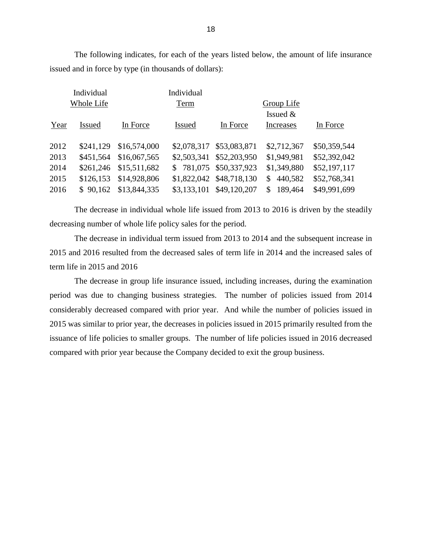The following indicates, for each of the years listed below, the amount of life insurance issued and in force by type (in thousands of dollars):

|      | Individual |              | Individual  |                          |               |              |
|------|------------|--------------|-------------|--------------------------|---------------|--------------|
|      | Whole Life |              | Term        |                          | Group Life    |              |
|      |            |              |             |                          | Issued $&$    |              |
| Year | Issued     | In Force     | Issued      | In Force                 | Increases     | In Force     |
|      |            |              |             |                          |               |              |
| 2012 | \$241,129  | \$16,574,000 | \$2,078,317 | \$53,083,871             | \$2,712,367   | \$50,359,544 |
| 2013 | \$451,564  | \$16,067,565 | \$2,503,341 | \$52,203,950             | \$1,949,981   | \$52,392,042 |
| 2014 | \$261,246  | \$15,511,682 | S.          | 781,075 \$50,337,923     | \$1,349,880   | \$52,197,117 |
| 2015 | \$126,153  | \$14,928,806 |             | \$1,822,042 \$48,718,130 | 440,582<br>\$ | \$52,768,341 |
| 2016 | \$90,162   | \$13,844,335 | \$3,133,101 | \$49,120,207             | 189,464<br>\$ | \$49,991,699 |

 The decrease in individual whole life issued from 2013 to 2016 is driven by the steadily decreasing number of whole life policy sales for the period.

 The decrease in individual term issued from 2013 to 2014 and the subsequent increase in 2015 and 2016 resulted from the decreased sales of term life in 2014 and the increased sales of term life in 2015 and 2016

 The decrease in group life insurance issued, including increases, during the examination considerably decreased compared with prior year. And while the number of policies issued in 2015 was similar to prior year, the decreases in policies issued in 2015 primarily resulted from the issuance of life policies to smaller groups. The number of life policies issued in 2016 decreased period was due to changing business strategies. The number of policies issued from 2014 compared with prior year because the Company decided to exit the group business.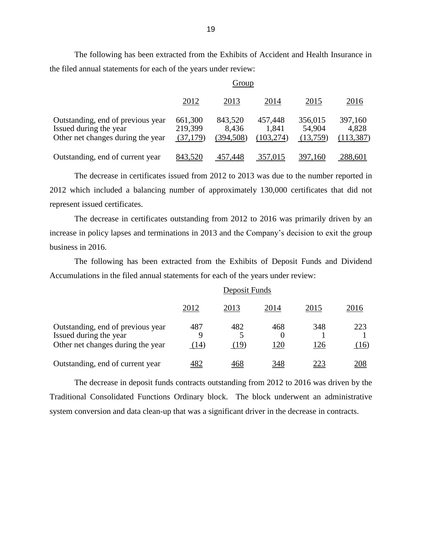The following has been extracted from the Exhibits of Accident and Health Insurance in the filed annual statements for each of the years under review:

|                                                                                                  | Group                          |                               |                                |                               |                                |
|--------------------------------------------------------------------------------------------------|--------------------------------|-------------------------------|--------------------------------|-------------------------------|--------------------------------|
|                                                                                                  | 2012                           | 2013                          | 2014                           | 2015                          | 2016                           |
| Outstanding, end of previous year<br>Issued during the year<br>Other net changes during the year | 661,300<br>219,399<br>(37,179) | 843,520<br>8,436<br>(394,508) | 457,448<br>1,841<br>(103, 274) | 356,015<br>54,904<br>(13,759) | 397,160<br>4,828<br>(113, 387) |
| Outstanding, end of current year                                                                 | 843,520                        | 457,448                       | 357,015                        | 397,160                       | 288,601                        |

 The decrease in certificates issued from 2012 to 2013 was due to the number reported in 2012 which included a balancing number of approximately 130,000 certificates that did not represent issued certificates.

 The decrease in certificates outstanding from 2012 to 2016 was primarily driven by an increase in policy lapses and terminations in 2013 and the Company's decision to exit the group business in 2016.

 The following has been extracted from the Exhibits of Deposit Funds and Dividend Accumulations in the filed annual statements for each of the years under review:

|                                                                                                  | Deposit Funds    |             |                 |            |             |
|--------------------------------------------------------------------------------------------------|------------------|-------------|-----------------|------------|-------------|
|                                                                                                  | 2012             | 2013        | 2014            | 2015       | 2016        |
| Outstanding, end of previous year<br>Issued during the year<br>Other net changes during the year | 487<br>9<br>(14) | 482<br>(19) | 468<br>0<br>120 | 348<br>126 | 223<br>(16) |
| Outstanding, end of current year                                                                 | 482              | 468         | 348             | 223        | 208         |

 The decrease in deposit funds contracts outstanding from 2012 to 2016 was driven by the Traditional Consolidated Functions Ordinary block. The block underwent an administrative system conversion and data clean-up that was a significant driver in the decrease in contracts.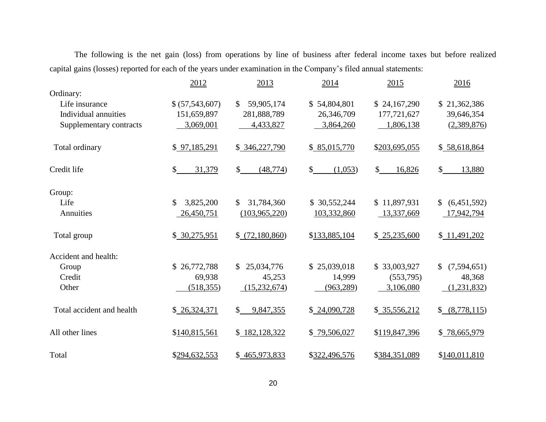The following is the net gain (loss) from operations by line of business after federal income taxes but before realized capital gains (losses) reported for each of the years under examination in the Company's filed annual statements:

|                           | 2012            | 2013                         | 2014          | 2015          | 2016                          |
|---------------------------|-----------------|------------------------------|---------------|---------------|-------------------------------|
| Ordinary:                 |                 |                              |               |               |                               |
| Life insurance            | \$ (57,543,607) | 59,905,174<br>\$             | \$54,804,801  | \$24,167,290  | \$21,362,386                  |
| Individual annuities      | 151,659,897     | 281,888,789                  | 26,346,709    | 177,721,627   | 39,646,354                    |
| Supplementary contracts   | 3,069,001       | 4,433,827                    | 3,864,260     | 1,806,138     | (2,389,876)                   |
| Total ordinary            | \$97,185,291    | \$ 346,227,790               | \$85,015,770  | \$203,695,055 | \$58,618,864                  |
| Credit life               | \$<br>31,379    | $\mathsf{\$}$<br>(48, 774)   | (1,053)<br>\$ | \$<br>16,826  | \$<br>13,880                  |
| Group:                    |                 |                              |               |               |                               |
| Life                      | \$<br>3,825,200 | 31,784,360<br>$\mathbb{S}$   | \$ 30,552,244 | \$11,897,931  | $\mathbb{S}^-$<br>(6,451,592) |
| Annuities                 | 26,450,751      | (103, 965, 220)              | 103,332,860   | 13,337,669    | 17,942,794                    |
| Total group               | \$30,275,951    | \$(72,180,860)               | \$133,885,104 | \$25,235,600  | \$11,491,202                  |
| Accident and health:      |                 |                              |               |               |                               |
| Group                     | \$26,772,788    | 25,034,776<br>$\mathbb{S}^-$ | \$25,039,018  | \$33,003,927  | $\mathbb{S}$<br>(7,594,651)   |
| Credit                    | 69,938          | 45,253                       | 14,999        | (553,795)     | 48,368                        |
| Other                     | (518, 355)      | (15,232,674)                 | (963, 289)    | 3,106,080     | (1,231,832)                   |
| Total accident and health | \$26,324,371    | \$<br>9,847,355              | \$24,090,728  | \$35,556,212  | \$ (8,778,115)                |
| All other lines           | \$140,815,561   | \$182,128,322                | \$79,506,027  | \$119,847,396 | \$78,665,979                  |
| Total                     | \$294,632,553   | \$465,973,833                | \$322,496,576 | \$384,351,089 | \$140,011,810                 |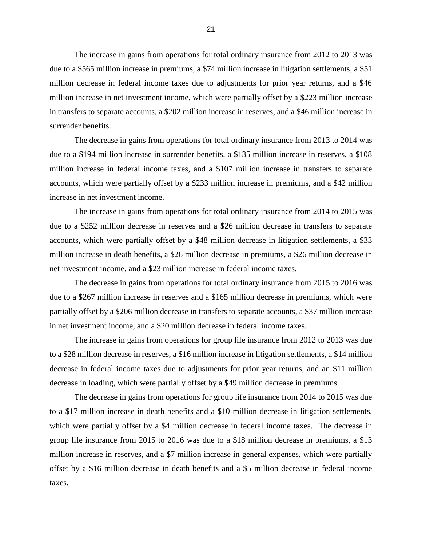The increase in gains from operations for total ordinary insurance from 2012 to 2013 was million decrease in federal income taxes due to adjustments for prior year returns, and a \$46 million increase in net investment income, which were partially offset by a \$223 million increase in transfers to separate accounts, a \$202 million increase in reserves, and a \$46 million increase in surrender benefits. due to a \$565 million increase in premiums, a \$74 million increase in litigation settlements, a \$51

 due to a \$194 million increase in surrender benefits, a \$135 million increase in reserves, a \$108 million increase in federal income taxes, and a \$107 million increase in transfers to separate accounts, which were partially offset by a \$233 million increase in premiums, and a \$42 million increase in net investment income. increase in net investment income. The increase in gains from operations for total ordinary insurance from 2014 to 2015 was The decrease in gains from operations for total ordinary insurance from 2013 to 2014 was

 due to a \$252 million decrease in reserves and a \$26 million decrease in transfers to separate accounts, which were partially offset by a \$48 million decrease in litigation settlements, a \$33 million increase in death benefits, a \$26 million decrease in premiums, a \$26 million decrease in net investment income, and a \$23 million increase in federal income taxes.

 due to a \$267 million increase in reserves and a \$165 million decrease in premiums, which were partially offset by a \$206 million decrease in transfers to separate accounts, a \$37 million increase The decrease in gains from operations for total ordinary insurance from 2015 to 2016 was in net investment income, and a \$20 million decrease in federal income taxes.

 decrease in federal income taxes due to adjustments for prior year returns, and an \$11 million decrease in loading, which were partially offset by a \$49 million decrease in premiums.<br>The decrease in gains from operations for group life insurance from 2014 to 2015 was due The increase in gains from operations for group life insurance from 2012 to 2013 was due to a \$28 million decrease in reserves, a \$16 million increase in litigation settlements, a \$14 million

The decrease in gains from operations for group life insurance from 2014 to 2015 was due to a \$17 million increase in death benefits and a \$10 million decrease in litigation settlements, which were partially offset by a \$4 million decrease in federal income taxes. The decrease in group life insurance from 2015 to 2016 was due to a \$18 million decrease in premiums, a \$13 million increase in reserves, and a \$7 million increase in general expenses, which were partially offset by a \$16 million decrease in death benefits and a \$5 million decrease in federal income taxes.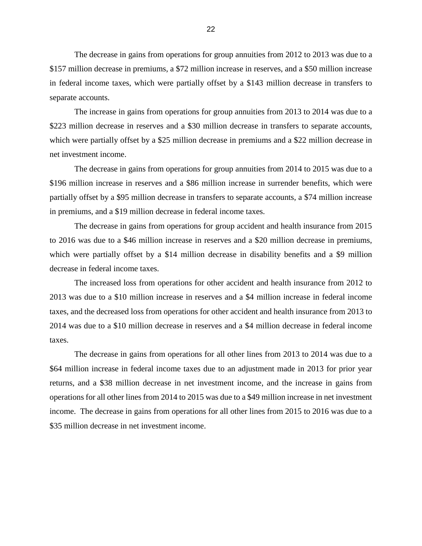in federal income taxes, which were partially offset by a \$143 million decrease in transfers to The decrease in gains from operations for group annuities from 2012 to 2013 was due to a \$157 million decrease in premiums, a \$72 million increase in reserves, and a \$50 million increase separate accounts.

 The increase in gains from operations for group annuities from 2013 to 2014 was due to a \$223 million decrease in reserves and a \$30 million decrease in transfers to separate accounts, which were partially offset by a \$25 million decrease in premiums and a \$22 million decrease in net investment income.

 \$196 million increase in reserves and a \$86 million increase in surrender benefits, which were partially offset by a \$95 million decrease in transfers to separate accounts, a \$74 million increase The decrease in gains from operations for group annuities from 2014 to 2015 was due to a in premiums, and a \$19 million decrease in federal income taxes.

 The decrease in gains from operations for group accident and health insurance from 2015 to 2016 was due to a \$46 million increase in reserves and a \$20 million decrease in premiums, which were partially offset by a \$14 million decrease in disability benefits and a \$9 million decrease in federal income taxes.

 2013 was due to a \$10 million increase in reserves and a \$4 million increase in federal income 2014 was due to a \$10 million decrease in reserves and a \$4 million decrease in federal income The increased loss from operations for other accident and health insurance from 2012 to taxes, and the decreased loss from operations for other accident and health insurance from 2013 to taxes.

 The decrease in gains from operations for all other lines from 2013 to 2014 was due to a \$64 million increase in federal income taxes due to an adjustment made in 2013 for prior year returns, and a \$38 million decrease in net investment income, and the increase in gains from operations for all other lines from 2014 to 2015 was due to a \$49 million increase in net investment income. The decrease in gains from operations for all other lines from 2015 to 2016 was due to a \$35 million decrease in net investment income.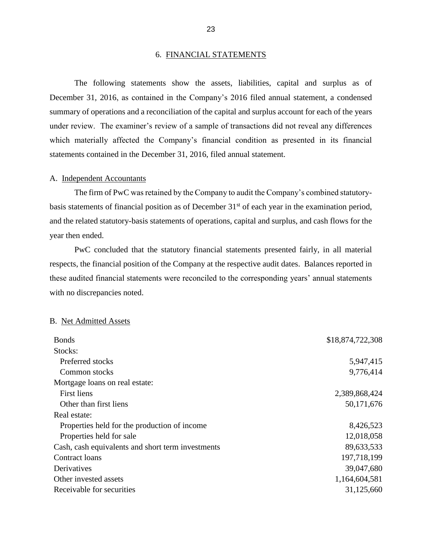#### 6. FINANCIAL STATEMENTS

 December 31, 2016, as contained in the Company's 2016 filed annual statement, a condensed summary of operations and a reconciliation of the capital and surplus account for each of the years under review. The examiner's review of a sample of transactions did not reveal any differences The following statements show the assets, liabilities, capital and surplus as of which materially affected the Company's financial condition as presented in its financial statements contained in the December 31, 2016, filed annual statement.

#### A. Independent Accountants

 The firm of PwC was retained by the Company to audit the Company's combined statutory- and the related statutory-basis statements of operations, capital and surplus, and cash flows for the basis statements of financial position as of December  $31<sup>st</sup>$  of each year in the examination period, year then ended.

 respects, the financial position of the Company at the respective audit dates. Balances reported in these audited financial statements were reconciled to the corresponding years' annual statements PwC concluded that the statutory financial statements presented fairly, in all material with no discrepancies noted.

#### B. Net Admitted Assets

| <b>Bonds</b>                                      | \$18,874,722,308 |
|---------------------------------------------------|------------------|
| Stocks:                                           |                  |
| Preferred stocks                                  | 5,947,415        |
| Common stocks                                     | 9,776,414        |
| Mortgage loans on real estate:                    |                  |
| First liens                                       | 2,389,868,424    |
| Other than first liens                            | 50,171,676       |
| Real estate:                                      |                  |
| Properties held for the production of income      | 8,426,523        |
| Properties held for sale                          | 12,018,058       |
| Cash, cash equivalents and short term investments | 89,633,533       |
| Contract loans                                    | 197,718,199      |
| Derivatives                                       | 39,047,680       |
| Other invested assets                             | 1,164,604,581    |
| Receivable for securities                         | 31,125,660       |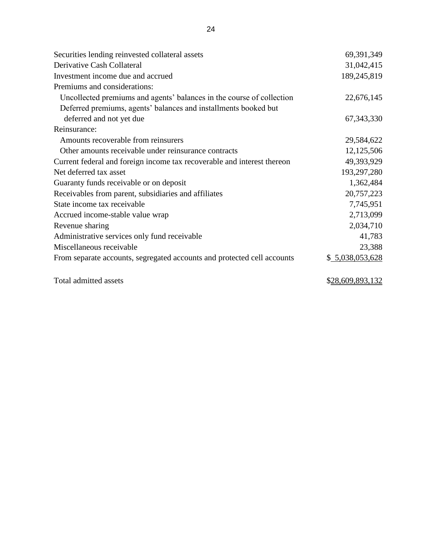| Securities lending reinvested collateral assets                         | 69,391,349       |
|-------------------------------------------------------------------------|------------------|
| Derivative Cash Collateral                                              | 31,042,415       |
| Investment income due and accrued                                       | 189,245,819      |
| Premiums and considerations:                                            |                  |
| Uncollected premiums and agents' balances in the course of collection   | 22,676,145       |
| Deferred premiums, agents' balances and installments booked but         |                  |
| deferred and not yet due                                                | 67, 343, 330     |
| Reinsurance:                                                            |                  |
| Amounts recoverable from reinsurers                                     | 29,584,622       |
| Other amounts receivable under reinsurance contracts                    | 12,125,506       |
| Current federal and foreign income tax recoverable and interest thereon | 49,393,929       |
| Net deferred tax asset                                                  | 193,297,280      |
| Guaranty funds receivable or on deposit                                 | 1,362,484        |
| Receivables from parent, subsidiaries and affiliates                    | 20,757,223       |
| State income tax receivable                                             | 7,745,951        |
| Accrued income-stable value wrap                                        | 2,713,099        |
| Revenue sharing                                                         | 2,034,710        |
| Administrative services only fund receivable                            | 41,783           |
| Miscellaneous receivable                                                | 23,388           |
| From separate accounts, segregated accounts and protected cell accounts | \$ 5,038,053,628 |
| Total admitted assets                                                   | \$28,609,893,132 |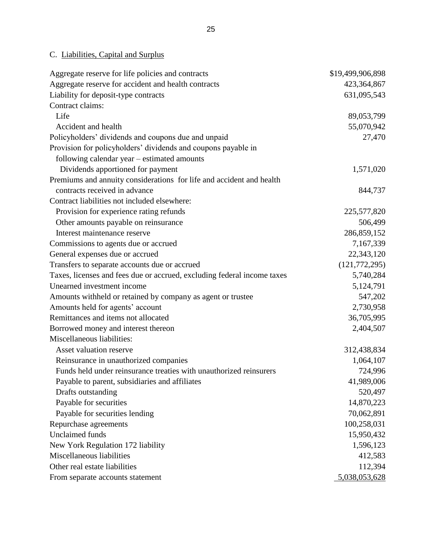# C. Liabilities, Capital and Surplus

| Aggregate reserve for life policies and contracts                       | \$19,499,906,898 |
|-------------------------------------------------------------------------|------------------|
| Aggregate reserve for accident and health contracts                     | 423,364,867      |
| Liability for deposit-type contracts                                    | 631,095,543      |
| Contract claims:                                                        |                  |
| Life                                                                    | 89,053,799       |
| Accident and health                                                     | 55,070,942       |
| Policyholders' dividends and coupons due and unpaid                     | 27,470           |
| Provision for policyholders' dividends and coupons payable in           |                  |
| following calendar year – estimated amounts                             |                  |
| Dividends apportioned for payment                                       | 1,571,020        |
| Premiums and annuity considerations for life and accident and health    |                  |
| contracts received in advance                                           | 844,737          |
| Contract liabilities not included elsewhere:                            |                  |
| Provision for experience rating refunds                                 | 225,577,820      |
| Other amounts payable on reinsurance                                    | 506,499          |
| Interest maintenance reserve                                            | 286,859,152      |
| Commissions to agents due or accrued                                    | 7,167,339        |
| General expenses due or accrued                                         | 22,343,120       |
| Transfers to separate accounts due or accrued                           | (121, 772, 295)  |
| Taxes, licenses and fees due or accrued, excluding federal income taxes | 5,740,284        |
| Unearned investment income                                              | 5,124,791        |
| Amounts withheld or retained by company as agent or trustee             | 547,202          |
| Amounts held for agents' account                                        | 2,730,958        |
| Remittances and items not allocated                                     | 36,705,995       |
| Borrowed money and interest thereon                                     | 2,404,507        |
| Miscellaneous liabilities:                                              |                  |
| Asset valuation reserve                                                 | 312,438,834      |
| Reinsurance in unauthorized companies                                   | 1,064,107        |
| Funds held under reinsurance treaties with unauthorized reinsurers      | 724,996          |
| Payable to parent, subsidiaries and affiliates                          | 41,989,006       |
| Drafts outstanding                                                      | 520,497          |
| Payable for securities                                                  | 14,870,223       |
| Payable for securities lending                                          | 70,062,891       |
| Repurchase agreements                                                   | 100,258,031      |
| <b>Unclaimed</b> funds                                                  | 15,950,432       |
| New York Regulation 172 liability                                       | 1,596,123        |
| Miscellaneous liabilities                                               | 412,583          |
| Other real estate liabilities                                           | 112,394          |
| From separate accounts statement                                        | 5,038,053,628    |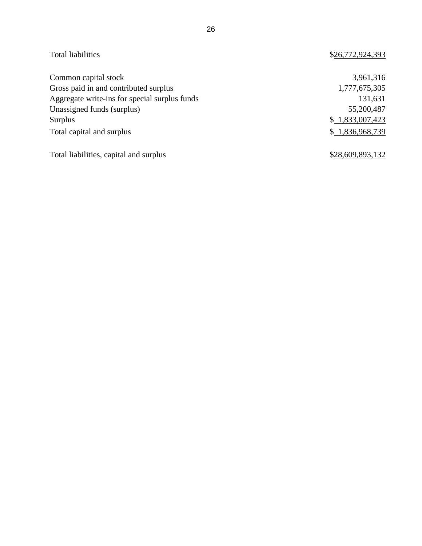| Total liabilities                             | \$26,772,924,393 |
|-----------------------------------------------|------------------|
| Common capital stock                          | 3,961,316        |
| Gross paid in and contributed surplus         | 1,777,675,305    |
| Aggregate write-ins for special surplus funds | 131,631          |
| Unassigned funds (surplus)                    | 55,200,487       |
| Surplus                                       | \$1,833,007,423  |
| Total capital and surplus                     | \$1,836,968,739  |
| Total liabilities, capital and surplus        | \$28,609,893,132 |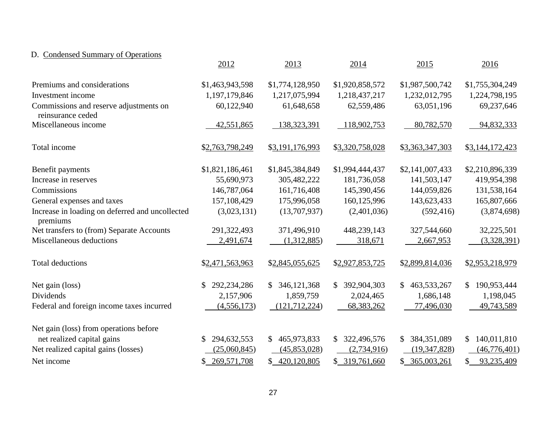# D. Condensed Summary of Operations

|                                                             | 2012              | 2013                | 2014                        | 2015                          | 2016                        |
|-------------------------------------------------------------|-------------------|---------------------|-----------------------------|-------------------------------|-----------------------------|
| Premiums and considerations                                 | \$1,463,943,598   | \$1,774,128,950     | \$1,920,858,572             | \$1,987,500,742               | \$1,755,304,249             |
| Investment income                                           | 1,197,179,846     | 1,217,075,994       | 1,218,437,217               | 1,232,012,795                 | 1,224,798,195               |
| Commissions and reserve adjustments on<br>reinsurance ceded | 60,122,940        | 61,648,658          | 62,559,486                  | 63,051,196                    | 69,237,646                  |
| Miscellaneous income                                        | 42,551,865        | 138,323,391         | 118,902,753                 | 80,782,570                    | 94,832,333                  |
| Total income                                                | \$2,763,798,249   | \$3,191,176,993     | \$3,320,758,028             | \$3,363,347,303               | \$3,144,172,423             |
| Benefit payments                                            | \$1,821,186,461   | \$1,845,384,849     | \$1,994,444,437             | \$2,141,007,433               | \$2,210,896,339             |
| Increase in reserves                                        | 55,690,973        | 305,482,222         | 181,736,058                 | 141,503,147                   | 419,954,398                 |
| Commissions                                                 | 146,787,064       | 161,716,408         | 145,390,456                 | 144,059,826                   | 131,538,164                 |
| General expenses and taxes                                  | 157,108,429       | 175,996,058         | 160,125,996                 | 143,623,433                   | 165,807,666                 |
| Increase in loading on deferred and uncollected<br>premiums | (3,023,131)       | (13,707,937)        | (2,401,036)                 | (592, 416)                    | (3,874,698)                 |
| Net transfers to (from) Separate Accounts                   | 291,322,493       | 371,496,910         | 448,239,143                 | 327,544,660                   | 32,225,501                  |
| Miscellaneous deductions                                    | 2,491,674         | (1,312,885)         | 318,671                     | 2,667,953                     | (3,328,391)                 |
| Total deductions                                            | \$2,471,563,963   | \$2,845,055,625     | \$2,927,853,725             | \$2,899,814,036               | \$2,953,218,979             |
| Net gain (loss)                                             | 292,234,286<br>S. | 346, 121, 368<br>\$ | \$<br>392,904,303           | $\mathbb{S}$<br>463, 533, 267 | \$<br>190,953,444           |
| Dividends                                                   | 2,157,906         | 1,859,759           | 2,024,465                   | 1,686,148                     | 1,198,045                   |
| Federal and foreign income taxes incurred                   | (4, 556, 173)     | (121, 712, 224)     | 68, 383, 262                | 77,496,030                    | 49,743,589                  |
| Net gain (loss) from operations before                      |                   |                     |                             |                               |                             |
| net realized capital gains                                  | 294,632,553<br>\$ | 465,973,833<br>\$   | 322,496,576<br>$\mathbb{S}$ | 384, 351, 089<br>$\mathbb{S}$ | 140,011,810<br>$\mathbb{S}$ |
| Net realized capital gains (losses)                         | (25,060,845)      | (45, 853, 028)      | (2,734,916)                 | (19, 347, 828)                | (46, 776, 401)              |
| Net income                                                  | \$269,571,708     | \$420,120,805       | \$319,761,660               | \$365,003,261                 | 93,235,409<br>\$            |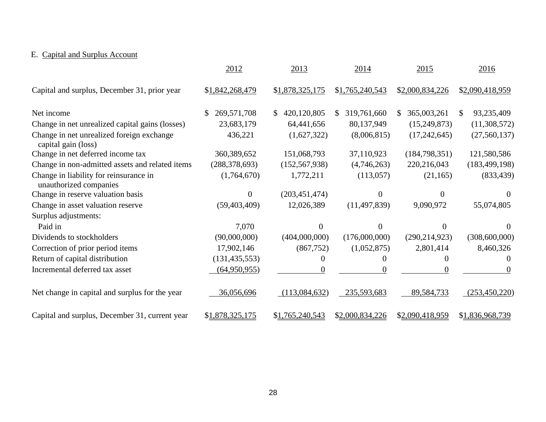# E. Capital and Surplus Account

|                                                                  | 2012              | 2013            | 2014              | 2015            | 2016             |
|------------------------------------------------------------------|-------------------|-----------------|-------------------|-----------------|------------------|
| Capital and surplus, December 31, prior year                     | \$1,842,268,479   | \$1,878,325,175 | \$1,765,240,543   | \$2,000,834,226 | \$2,090,418,959  |
| Net income                                                       | 269,571,708<br>\$ | 420,120,805     | 319,761,660<br>S. | 365,003,261     | \$<br>93,235,409 |
| Change in net unrealized capital gains (losses)                  | 23,683,179        | 64,441,656      | 80,137,949        | (15,249,873)    | (11,308,572)     |
| Change in net unrealized foreign exchange<br>capital gain (loss) | 436,221           | (1,627,322)     | (8,006,815)       | (17, 242, 645)  | (27,560,137)     |
| Change in net deferred income tax                                | 360,389,652       | 151,068,793     | 37,110,923        | (184, 798, 351) | 121,580,586      |
| Change in non-admitted assets and related items                  | (288, 378, 693)   | (152, 567, 938) | (4,746,263)       | 220,216,043     | (183, 499, 198)  |
| Change in liability for reinsurance in<br>unauthorized companies | (1,764,670)       | 1,772,211       | (113,057)         | (21, 165)       | (833, 439)       |
| Change in reserve valuation basis                                | $\Omega$          | (203, 451, 474) | 0                 |                 |                  |
| Change in asset valuation reserve                                | (59, 403, 409)    | 12,026,389      | (11, 497, 839)    | 9,090,972       | 55,074,805       |
| Surplus adjustments:                                             |                   |                 |                   |                 |                  |
| Paid in                                                          | 7,070             |                 |                   |                 |                  |
| Dividends to stockholders                                        | (90,000,000)      | (404,000,000)   | (176,000,000)     | (290, 214, 923) | (308, 600, 000)  |
| Correction of prior period items                                 | 17,902,146        | (867,752)       | (1,052,875)       | 2,801,414       | 8,460,326        |
| Return of capital distribution                                   | (131, 435, 553)   | 0               | 0                 |                 |                  |
| Incremental deferred tax asset                                   | (64,950,955)      |                 |                   | 0               | $\Omega$         |
| Net change in capital and surplus for the year                   | 36,056,696        | (113,084,632)   | 235,593,683       | 89,584,733      | (253, 450, 220)  |
| Capital and surplus, December 31, current year                   | \$1,878,325,175   | \$1,765,240,543 | \$2,000,834,226   | \$2,090,418,959 | \$1,836,968,739  |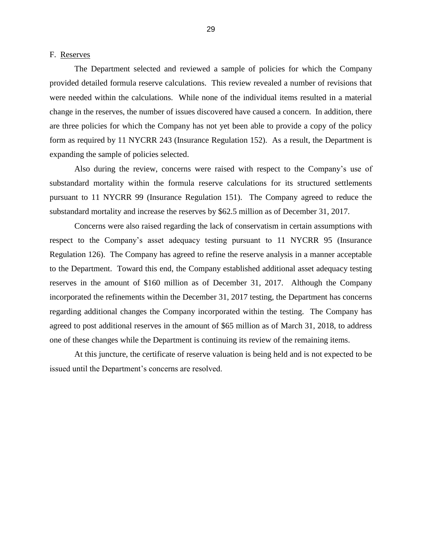<span id="page-31-0"></span>F. Reserves

 provided detailed formula reserve calculations. This review revealed a number of revisions that were needed within the calculations. While none of the individual items resulted in a material are three policies for which the Company has not yet been able to provide a copy of the policy form as required by 11 NYCRR 243 (Insurance Regulation 152). As a result, the Department is The Department selected and reviewed a sample of policies for which the Company change in the reserves, the number of issues discovered have caused a concern. In addition, there expanding the sample of policies selected.

 Also during the review, concerns were raised with respect to the Company's use of substandard mortality within the formula reserve calculations for its structured settlements pursuant to 11 NYCRR 99 (Insurance Regulation 151). The Company agreed to reduce the substandard mortality and increase the reserves by \$62.5 million as of December 31, 2017.

 respect to the Company's asset adequacy testing pursuant to 11 NYCRR 95 (Insurance Regulation 126). The Company has agreed to refine the reserve analysis in a manner acceptable to the Department. Toward this end, the Company established additional asset adequacy testing agreed to post additional reserves in the amount of \$65 million as of March 31, 2018, to address Concerns were also raised regarding the lack of conservatism in certain assumptions with reserves in the amount of \$160 million as of December 31, 2017. Although the Company incorporated the refinements within the December 31, 2017 testing, the Department has concerns regarding additional changes the Company incorporated within the testing. The Company has one of these changes while the Department is continuing its review of the remaining items.

At this juncture, the certificate of reserve valuation is being held and is not expected to be issued until the Department's concerns are resolved.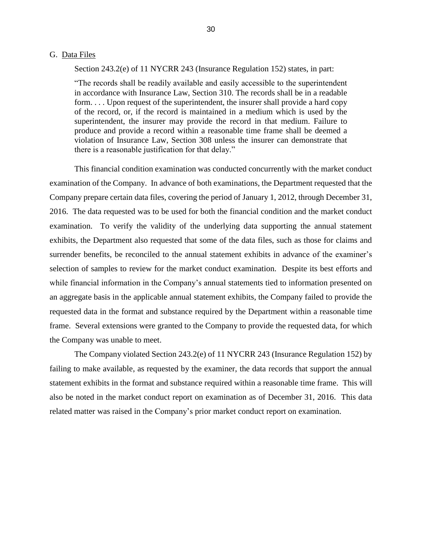#### <span id="page-32-0"></span>G. Data Files

Section 243.2(e) of 11 NYCRR 243 (Insurance Regulation 152) states, in part:

 "The records shall be readily available and easily accessible to the superintendent in accordance with Insurance Law, Section 310. The records shall be in a readable form. . . . Upon request of the superintendent, the insurer shall provide a hard copy superintendent, the insurer may provide the record in that medium. Failure to produce and provide a record within a reasonable time frame shall be deemed a of the record, or, if the record is maintained in a medium which is used by the violation of Insurance Law, Section 308 unless the insurer can demonstrate that there is a reasonable justification for that delay."

 Company prepare certain data files, covering the period of January 1, 2012, through December 31, 2016. The data requested was to be used for both the financial condition and the market conduct examination. To verify the validity of the underlying data supporting the annual statement exhibits, the Department also requested that some of the data files, such as those for claims and selection of samples to review for the market conduct examination. Despite its best efforts and an aggregate basis in the applicable annual statement exhibits, the Company failed to provide the requested data in the format and substance required by the Department within a reasonable time frame. Several extensions were granted to the Company to provide the requested data, for which the Company was unable to meet. the Company was unable to meet.<br>The Company violated Section 243.2(e) of 11 NYCRR 243 (Insurance Regulation 152) by This financial condition examination was conducted concurrently with the market conduct examination of the Company. In advance of both examinations, the Department requested that the surrender benefits, be reconciled to the annual statement exhibits in advance of the examiner's while financial information in the Company's annual statements tied to information presented on

 failing to make available, as requested by the examiner, the data records that support the annual statement exhibits in the format and substance required within a reasonable time frame. This will also be noted in the market conduct report on examination as of December 31, 2016. This data related matter was raised in the Company's prior market conduct report on examination.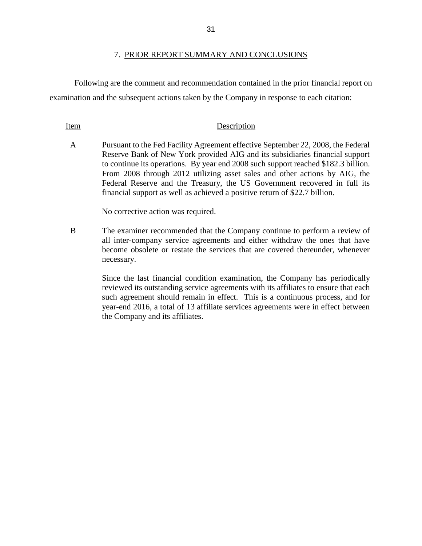#### 7. PRIOR REPORT SUMMARY AND CONCLUSIONS

 Following are the comment and recommendation contained in the prior financial report on examination and the subsequent actions taken by the Company in response to each citation:

#### Item Description

 Reserve Bank of New York provided AIG and its subsidiaries financial support to continue its operations. By year end 2008 such support reached \$182.3 billion. From 2008 through 2012 utilizing asset sales and other actions by AIG, the Federal Reserve and the Treasury, the US Government recovered in full its A Pursuant to the Fed Facility Agreement effective September 22, 2008, the Federal financial support as well as achieved a positive return of \$22.7 billion.

No corrective action was required.

 B The examiner recommended that the Company continue to perform a review of all inter-company service agreements and either withdraw the ones that have become obsolete or restate the services that are covered thereunder, whenever necessary.

> Since the last financial condition examination, the Company has periodically such agreement should remain in effect. This is a continuous process, and for reviewed its outstanding service agreements with its affiliates to ensure that each year-end 2016, a total of 13 affiliate services agreements were in effect between the Company and its affiliates.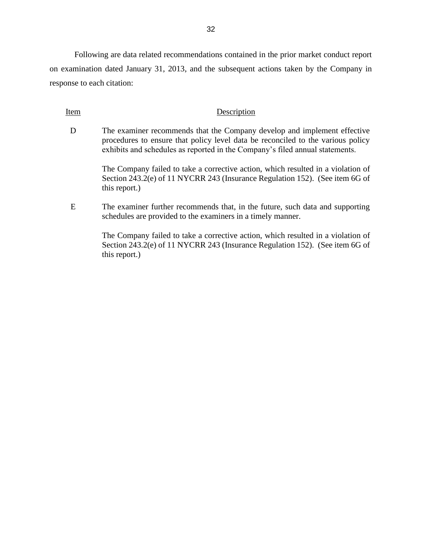Following are data related recommendations contained in the prior market conduct report on examination dated January 31, 2013, and the subsequent actions taken by the Company in response to each citation:

### Item Description

 procedures to ensure that policy level data be reconciled to the various policy D The examiner recommends that the Company develop and implement effective exhibits and schedules as reported in the Company's filed annual statements.

> The Company failed to take a corrective action, which resulted in a violation of Section 243.2(e) of 11 NYCRR 243 (Insurance Regulation 152). (See item 6G of this report.)

E The examiner further recommends that, in the future, such data and supporting schedules are provided to the examiners in a timely manner.

> The Company failed to take a corrective action, which resulted in a violation of Section 243.2(e) of 11 NYCRR 243 (Insurance Regulation 152). (See item 6G of this report.)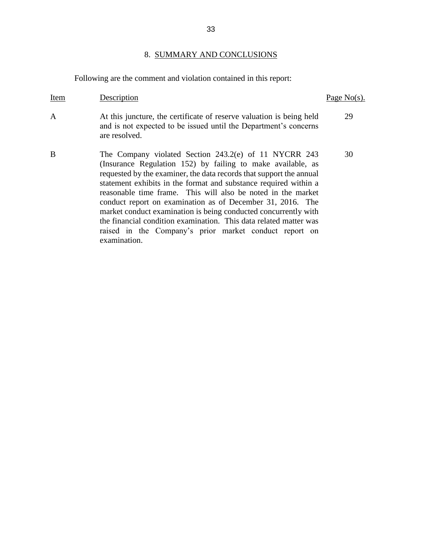#### 8. SUMMARY AND CONCLUSIONS

Following are the comment and violation contained in this report:

A At this juncture, the certificate of reserve valuation is being held B The Company violated Section 243.2(e) of 11 NYCRR 243 (Insurance Regulation 152) by failing to make available, as requested by the examiner, the data records that support the annual reasonable time frame. This will also be noted in the market conduct report on examination as of December 31, 2016. The the financial condition examination. This data related matter was Item Description Page No(s). and is not expected to be issued until the Department's concerns are resolved. 29 statement exhibits in the format and substance required within a market conduct examination is being conducted concurrently with raised in the Company's prior market conduct report on examination. 30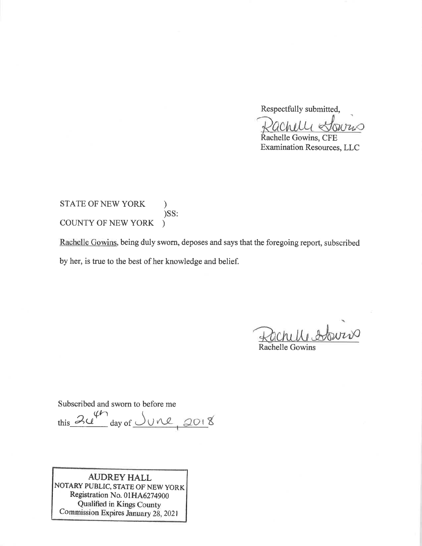Respectfully submitted,

achelle Hours

Rachelle Gowins, CFE **Examination Resources, LLC** 

**STATE OF NEW YORK**  $\mathcal{E}$ )SS: **COUNTY OF NEW YORK**  $\lambda$ 

Rachelle Gowins, being duly sworn, deposes and says that the foregoing report, subscribed by her, is true to the best of her knowledge and belief.

 $ch_1$   $M_1$ , adopting

**Rachelle Gowins** 

Subscribed and sworn to before me

this 24th day of June, 2018

**AUDREY HALL** NOTARY PUBLIC, STATE OF NEW YORK Registration No. 01HA6274900 Qualified in Kings County Commission Expires January 28, 2021